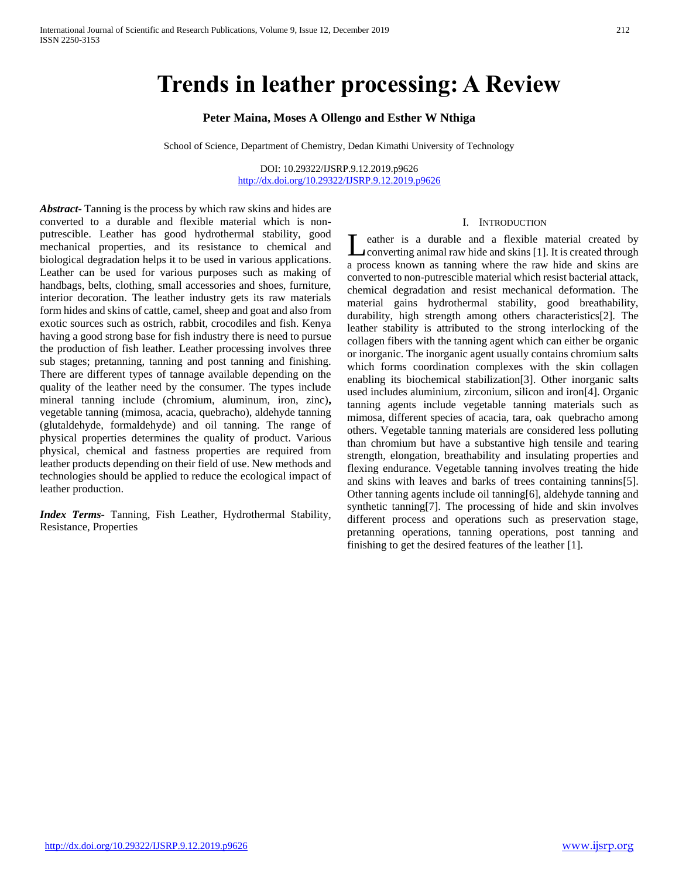# **Trends in leather processing: A Review**

# **Peter Maina, Moses A Ollengo and Esther W Nthiga**

School of Science, Department of Chemistry, Dedan Kimathi University of Technology

DOI: 10.29322/IJSRP.9.12.2019.p9626 <http://dx.doi.org/10.29322/IJSRP.9.12.2019.p9626>

*Abstract***-** Tanning is the process by which raw skins and hides are converted to a durable and flexible material which is nonputrescible. Leather has good hydrothermal stability, good mechanical properties, and its resistance to chemical and biological degradation helps it to be used in various applications. Leather can be used for various purposes such as making of handbags, belts, clothing, small accessories and shoes, furniture, interior decoration. The leather industry gets its raw materials form hides and skins of cattle, camel, sheep and goat and also from exotic sources such as ostrich, rabbit, crocodiles and fish. Kenya having a good strong base for fish industry there is need to pursue the production of fish leather. Leather processing involves three sub stages; pretanning, tanning and post tanning and finishing. There are different types of tannage available depending on the quality of the leather need by the consumer. The types include mineral tanning include (chromium, aluminum, iron, zinc)**,**  vegetable tanning (mimosa, acacia, quebracho), aldehyde tanning (glutaldehyde, formaldehyde) and oil tanning. The range of physical properties determines the quality of product. Various physical, chemical and fastness properties are required from leather products depending on their field of use. New methods and technologies should be applied to reduce the ecological impact of leather production.

*Index Terms*- Tanning, Fish Leather, Hydrothermal Stability, Resistance, Properties

#### I. INTRODUCTION

eather is a durable and a flexible material created by converting animal raw hide and skins [1]. It is created through a process known as tanning where the raw hide and skins are converted to non-putrescible material which resist bacterial attack, chemical degradation and resist mechanical deformation. The material gains hydrothermal stability, good breathability, durability, high strength among others characteristics[2]. The leather stability is attributed to the strong interlocking of the collagen fibers with the tanning agent which can either be organic or inorganic. The inorganic agent usually contains chromium salts which forms coordination complexes with the skin collagen enabling its biochemical stabilization[3]. Other inorganic salts used includes aluminium, zirconium, silicon and iron[4]. Organic tanning agents include vegetable tanning materials such as mimosa, different species of acacia, tara, oak quebracho among others. Vegetable tanning materials are considered less polluting than chromium but have a substantive high tensile and tearing strength, elongation, breathability and insulating properties and flexing endurance. Vegetable tanning involves treating the hide and skins with leaves and barks of trees containing tannins[5]. Other tanning agents include oil tanning[6], aldehyde tanning and synthetic tanning[7]. The processing of hide and skin involves different process and operations such as preservation stage, pretanning operations, tanning operations, post tanning and finishing to get the desired features of the leather [1]. L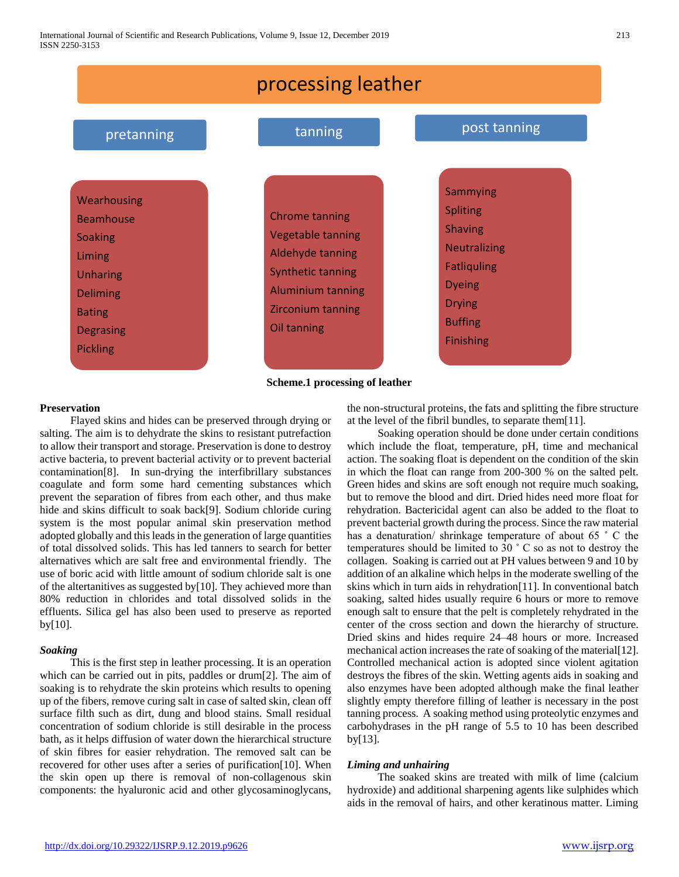

**Scheme.1 processing of leather**

# **Preservation**

 Flayed skins and hides can be preserved through drying or salting. The aim is to dehydrate the skins to resistant putrefaction to allow their transport and storage. Preservation is done to destroy active bacteria, to prevent bacterial activity or to prevent bacterial contamination[8]. In sun-drying the interfibrillary substances coagulate and form some hard cementing substances which prevent the separation of fibres from each other, and thus make hide and skins difficult to soak back[9]. Sodium chloride curing system is the most popular animal skin preservation method adopted globally and this leads in the generation of large quantities of total dissolved solids. This has led tanners to search for better alternatives which are salt free and environmental friendly. The use of boric acid with little amount of sodium chloride salt is one of the altertanitives as suggested by[10]. They achieved more than 80% reduction in chlorides and total dissolved solids in the effluents. Silica gel has also been used to preserve as reported by[10]*.*

#### *Soaking*

 This is the first step in leather processing. It is an operation which can be carried out in pits, paddles or drum[2]. The aim of soaking is to rehydrate the skin proteins which results to opening up of the fibers, remove curing salt in case of salted skin, clean off surface filth such as dirt, dung and blood stains. Small residual concentration of sodium chloride is still desirable in the process bath, as it helps diffusion of water down the hierarchical structure of skin fibres for easier rehydration. The removed salt can be recovered for other uses after a series of purification[10]. When the skin open up there is removal of non-collagenous skin components: the hyaluronic acid and other glycosaminoglycans,

the non-structural proteins, the fats and splitting the fibre structure at the level of the fibril bundles, to separate them[11].

 Soaking operation should be done under certain conditions which include the float, temperature, pH, time and mechanical action. The soaking float is dependent on the condition of the skin in which the float can range from 200-300 % on the salted pelt. Green hides and skins are soft enough not require much soaking, but to remove the blood and dirt. Dried hides need more float for rehydration. Bactericidal agent can also be added to the float to prevent bacterial growth during the process. Since the raw material has a denaturation/ shrinkage temperature of about 65 ˚ C the temperatures should be limited to 30 ˚ C so as not to destroy the collagen. Soaking is carried out at PH values between 9 and 10 by addition of an alkaline which helps in the moderate swelling of the skins which in turn aids in rehydration[11]. In conventional batch soaking, salted hides usually require 6 hours or more to remove enough salt to ensure that the pelt is completely rehydrated in the center of the cross section and down the hierarchy of structure. Dried skins and hides require 24–48 hours or more. Increased mechanical action increases the rate of soaking of the material[12]. Controlled mechanical action is adopted since violent agitation destroys the fibres of the skin. Wetting agents aids in soaking and also enzymes have been adopted although make the final leather slightly empty therefore filling of leather is necessary in the post tanning process. A soaking method using proteolytic enzymes and carbohydrases in the pH range of 5.5 to 10 has been described by[13].

#### *Liming and unhairing*

 The soaked skins are treated with milk of lime (calcium hydroxide) and additional sharpening agents like sulphides which aids in the removal of hairs, and other keratinous matter. Liming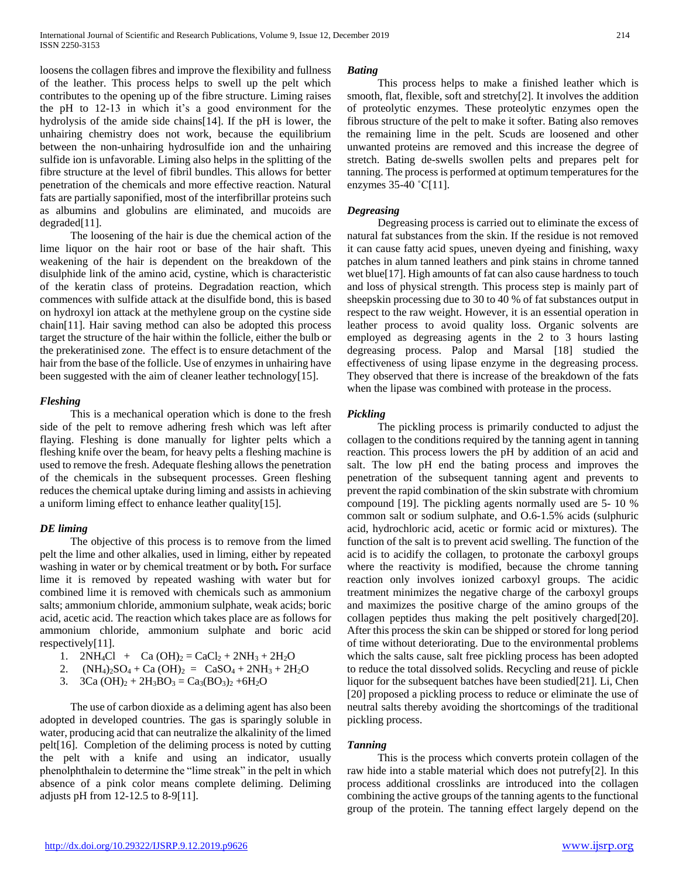loosens the collagen fibres and improve the flexibility and fullness of the leather. This process helps to swell up the pelt which contributes to the opening up of the fibre structure. Liming raises the pH to 12-13 in which it's a good environment for the hydrolysis of the amide side chains[14]. If the pH is lower, the unhairing chemistry does not work, because the equilibrium between the non-unhairing hydrosulfide ion and the unhairing sulfide ion is unfavorable. Liming also helps in the splitting of the fibre structure at the level of fibril bundles. This allows for better penetration of the chemicals and more effective reaction. Natural fats are partially saponified, most of the interfibrillar proteins such as albumins and globulins are eliminated, and mucoids are degraded[11].

 The loosening of the hair is due the chemical action of the lime liquor on the hair root or base of the hair shaft. This weakening of the hair is dependent on the breakdown of the disulphide link of the amino acid, cystine, which is characteristic of the keratin class of proteins. Degradation reaction, which commences with sulfide attack at the disulfide bond, this is based on hydroxyl ion attack at the methylene group on the cystine side chain[11]. Hair saving method can also be adopted this process target the structure of the hair within the follicle, either the bulb or the prekeratinised zone. The effect is to ensure detachment of the hair from the base of the follicle. Use of enzymes in unhairing have been suggested with the aim of cleaner leather technology[15].

## *Fleshing*

 This is a mechanical operation which is done to the fresh side of the pelt to remove adhering fresh which was left after flaying. Fleshing is done manually for lighter pelts which a fleshing knife over the beam, for heavy pelts a fleshing machine is used to remove the fresh. Adequate fleshing allows the penetration of the chemicals in the subsequent processes. Green fleshing reduces the chemical uptake during liming and assists in achieving a uniform liming effect to enhance leather quality[15].

## *DE liming*

 The objective of this process is to remove from the limed pelt the lime and other alkalies, used in liming, either by repeated washing in water or by chemical treatment or by both*.* For surface lime it is removed by repeated washing with water but for combined lime it is removed with chemicals such as ammonium salts; ammonium chloride, ammonium sulphate, weak acids; boric acid, acetic acid. The reaction which takes place are as follows for ammonium chloride, ammonium sulphate and boric acid respectively[11].

1.  $2NH_4Cl + Ca(OH)_2 = CaCl_2 + 2NH_3 + 2H_2O$ 

2. 
$$
(NH_4)_2SO_4 + Ca(OH)_2 = CaSO_4 + 2NH_3 + 2H_2O
$$

3. 3Ca 
$$
(OH)_2 + 2H_3BO_3 = Ca_3(BO_3)_2 + 6H_2O
$$

 The use of carbon dioxide as a deliming agent has also been adopted in developed countries. The gas is sparingly soluble in water, producing acid that can neutralize the alkalinity of the limed pelt[16]. Completion of the deliming process is noted by cutting the pelt with a knife and using an indicator, usually phenolphthalein to determine the "lime streak" in the pelt in which absence of a pink color means complete deliming. Deliming adjusts pH from 12-12.5 to 8-9[11].

#### *Bating*

 This process helps to make a finished leather which is smooth, flat, flexible, soft and stretchy[2]. It involves the addition of proteolytic enzymes. These proteolytic enzymes open the fibrous structure of the pelt to make it softer. Bating also removes the remaining lime in the pelt. Scuds are loosened and other unwanted proteins are removed and this increase the degree of stretch. Bating de-swells swollen pelts and prepares pelt for tanning. The process is performed at optimum temperatures for the enzymes 35-40 ˚C[11].

## *Degreasing*

 Degreasing process is carried out to eliminate the excess of natural fat substances from the skin. If the residue is not removed it can cause fatty acid spues, uneven dyeing and finishing, waxy patches in alum tanned leathers and pink stains in chrome tanned wet blue[17]. High amounts of fat can also cause hardness to touch and loss of physical strength. This process step is mainly part of sheepskin processing due to 30 to 40 % of fat substances output in respect to the raw weight. However, it is an essential operation in leather process to avoid quality loss. Organic solvents are employed as degreasing agents in the 2 to 3 hours lasting degreasing process. Palop and Marsal [18] studied the effectiveness of using lipase enzyme in the degreasing process. They observed that there is increase of the breakdown of the fats when the lipase was combined with protease in the process.

#### *Pickling*

 The pickling process is primarily conducted to adjust the collagen to the conditions required by the tanning agent in tanning reaction. This process lowers the pH by addition of an acid and salt. The low pH end the bating process and improves the penetration of the subsequent tanning agent and prevents to prevent the rapid combination of the skin substrate with chromium compound [19]. The pickling agents normally used are 5- 10 % common salt or sodium sulphate, and O.6-1.5% acids (sulphuric acid, hydrochloric acid, acetic or formic acid or mixtures). The function of the salt is to prevent acid swelling. The function of the acid is to acidify the collagen, to protonate the carboxyl groups where the reactivity is modified, because the chrome tanning reaction only involves ionized carboxyl groups. The acidic treatment minimizes the negative charge of the carboxyl groups and maximizes the positive charge of the amino groups of the collagen peptides thus making the pelt positively charged[20]. After this process the skin can be shipped or stored for long period of time without deteriorating. Due to the environmental problems which the salts cause, salt free pickling process has been adopted to reduce the total dissolved solids. Recycling and reuse of pickle liquor for the subsequent batches have been studied[21]. Li, Chen [20] proposed a pickling process to reduce or eliminate the use of neutral salts thereby avoiding the shortcomings of the traditional pickling process.

## *Tanning*

 This is the process which converts protein collagen of the raw hide into a stable material which does not putrefy[2]. In this process additional crosslinks are introduced into the collagen combining the active groups of the tanning agents to the functional group of the protein. The tanning effect largely depend on the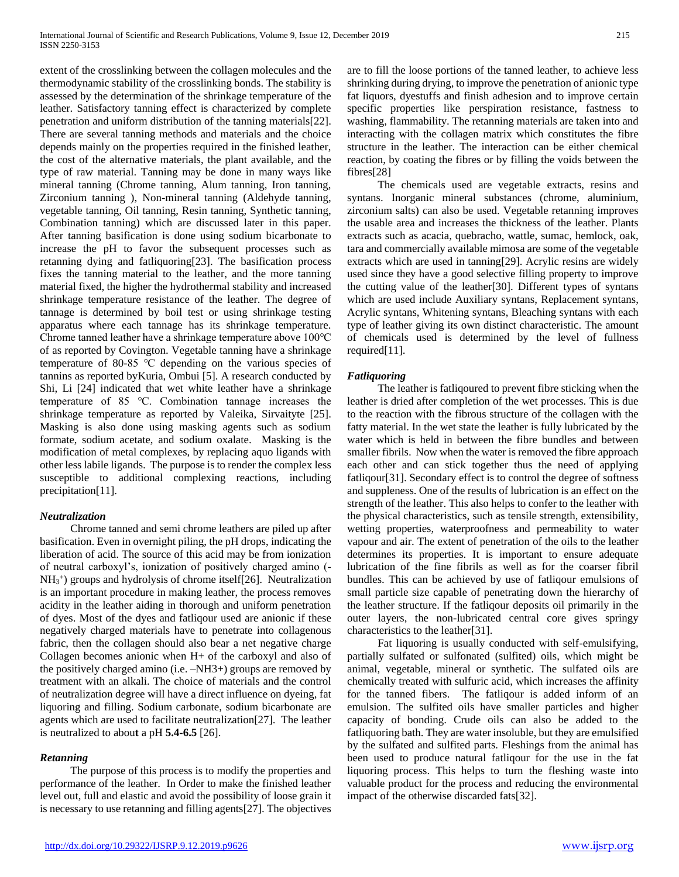extent of the crosslinking between the collagen molecules and the thermodynamic stability of the crosslinking bonds. The stability is assessed by the determination of the shrinkage temperature of the leather. Satisfactory tanning effect is characterized by complete penetration and uniform distribution of the tanning materials[22]. There are several tanning methods and materials and the choice depends mainly on the properties required in the finished leather, the cost of the alternative materials, the plant available, and the type of raw material. Tanning may be done in many ways like mineral tanning (Chrome tanning, Alum tanning, Iron tanning, Zirconium tanning ), Non-mineral tanning (Aldehyde tanning, vegetable tanning, Oil tanning, Resin tanning, Synthetic tanning, Combination tanning) which are discussed later in this paper. After tanning basification is done using sodium bicarbonate to increase the pH to favor the subsequent processes such as retanning dying and fatliquoring[23]. The basification process fixes the tanning material to the leather, and the more tanning material fixed, the higher the hydrothermal stability and increased shrinkage temperature resistance of the leather. The degree of tannage is determined by boil test or using shrinkage testing apparatus where each tannage has its shrinkage temperature. Chrome tanned leather have a shrinkage temperature above 100℃ of as reported by Covington. Vegetable tanning have a shrinkage temperature of 80-85 ℃ depending on the various species of tannins as reported byKuria, Ombui [5]. A research conducted by Shi, Li [24] indicated that wet white leather have a shrinkage temperature of 85 ℃. Combination tannage increases the shrinkage temperature as reported by Valeika, Sirvaityte [25]. Masking is also done using masking agents such as sodium formate, sodium acetate, and sodium oxalate. Masking is the modification of metal complexes, by replacing aquo ligands with other less labile ligands. The purpose is to render the complex less susceptible to additional complexing reactions, including precipitation[11].

## *Neutralization*

 Chrome tanned and semi chrome leathers are piled up after basification. Even in overnight piling, the pH drops, indicating the liberation of acid. The source of this acid may be from ionization of neutral carboxyl's, ionization of positively charged amino (- NH<sup>3</sup> + ) groups and hydrolysis of chrome itself[26]. Neutralization is an important procedure in making leather, the process removes acidity in the leather aiding in thorough and uniform penetration of dyes. Most of the dyes and fatliqour used are anionic if these negatively charged materials have to penetrate into collagenous fabric, then the collagen should also bear a net negative charge Collagen becomes anionic when H+ of the carboxyl and also of the positively charged amino (i.e. –NH3+) groups are removed by treatment with an alkali. The choice of materials and the control of neutralization degree will have a direct influence on dyeing, fat liquoring and filling. Sodium carbonate, sodium bicarbonate are agents which are used to facilitate neutralization[27]. The leather is neutralized to abou**t** a pH **5.4-6.5** [26].

## *Retanning*

 The purpose of this process is to modify the properties and performance of the leather. In Order to make the finished leather level out, full and elastic and avoid the possibility of loose grain it is necessary to use retanning and filling agents[27]. The objectives

are to fill the loose portions of the tanned leather, to achieve less shrinking during drying, to improve the penetration of anionic type fat liquors, dyestuffs and finish adhesion and to improve certain specific properties like perspiration resistance, fastness to washing, flammability. The retanning materials are taken into and interacting with the collagen matrix which constitutes the fibre structure in the leather. The interaction can be either chemical reaction, by coating the fibres or by filling the voids between the fibres[28]

 The chemicals used are vegetable extracts, resins and syntans. Inorganic mineral substances (chrome, aluminium, zirconium salts) can also be used. Vegetable retanning improves the usable area and increases the thickness of the leather. Plants extracts such as acacia, quebracho, wattle, sumac, hemlock, oak, tara and commercially available mimosa are some of the vegetable extracts which are used in tanning[29]. Acrylic resins are widely used since they have a good selective filling property to improve the cutting value of the leather[30]. Different types of syntans which are used include Auxiliary syntans, Replacement syntans, Acrylic syntans, Whitening syntans, Bleaching syntans with each type of leather giving its own distinct characteristic. The amount of chemicals used is determined by the level of fullness required[11].

#### *Fatliquoring*

 The leather is fatliqoured to prevent fibre sticking when the leather is dried after completion of the wet processes. This is due to the reaction with the fibrous structure of the collagen with the fatty material. In the wet state the leather is fully lubricated by the water which is held in between the fibre bundles and between smaller fibrils. Now when the water is removed the fibre approach each other and can stick together thus the need of applying fatliqour[31]. Secondary effect is to control the degree of softness and suppleness. One of the results of lubrication is an effect on the strength of the leather. This also helps to confer to the leather with the physical characteristics, such as tensile strength, extensibility, wetting properties, waterproofness and permeability to water vapour and air. The extent of penetration of the oils to the leather determines its properties. It is important to ensure adequate lubrication of the fine fibrils as well as for the coarser fibril bundles. This can be achieved by use of fatliqour emulsions of small particle size capable of penetrating down the hierarchy of the leather structure. If the fatliqour deposits oil primarily in the outer layers, the non-lubricated central core gives springy characteristics to the leather[31].

 Fat liquoring is usually conducted with self-emulsifying, partially sulfated or sulfonated (sulfited) oils, which might be animal, vegetable, mineral or synthetic. The sulfated oils are chemically treated with sulfuric acid, which increases the affinity for the tanned fibers. The fatliqour is added inform of an emulsion. The sulfited oils have smaller particles and higher capacity of bonding. Crude oils can also be added to the fatliquoring bath. They are water insoluble, but they are emulsified by the sulfated and sulfited parts. Fleshings from the animal has been used to produce natural fatliqour for the use in the fat liquoring process. This helps to turn the fleshing waste into valuable product for the process and reducing the environmental impact of the otherwise discarded fats[32].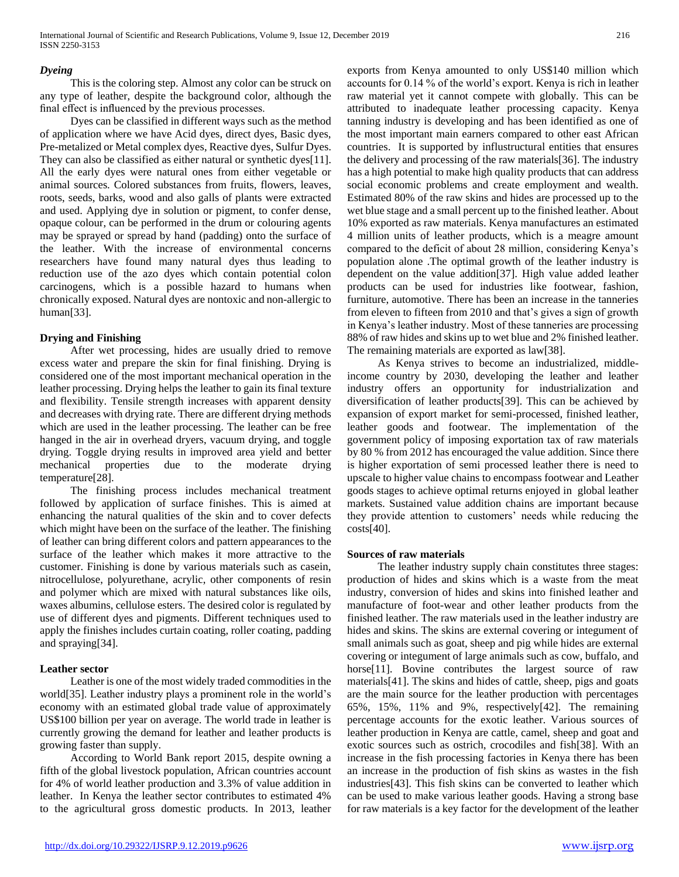# *Dyeing*

 This is the coloring step. Almost any color can be struck on any type of leather, despite the background color, although the final effect is influenced by the previous processes.

 Dyes can be classified in different ways such as the method of application where we have Acid dyes, direct dyes, Basic dyes, Pre-metalized or Metal complex dyes, Reactive dyes, Sulfur Dyes. They can also be classified as either natural or synthetic dyes[11]. All the early dyes were natural ones from either vegetable or animal sources. Colored substances from fruits, flowers, leaves, roots, seeds, barks, wood and also galls of plants were extracted and used. Applying dye in solution or pigment, to confer dense, opaque colour, can be performed in the drum or colouring agents may be sprayed or spread by hand (padding) onto the surface of the leather. With the increase of environmental concerns researchers have found many natural dyes thus leading to reduction use of the azo dyes which contain potential colon carcinogens, which is a possible hazard to humans when chronically exposed. Natural dyes are nontoxic and non-allergic to human[33].

# **Drying and Finishing**

 After wet processing, hides are usually dried to remove excess water and prepare the skin for final finishing. Drying is considered one of the most important mechanical operation in the leather processing. Drying helps the leather to gain its final texture and flexibility. Tensile strength increases with apparent density and decreases with drying rate. There are different drying methods which are used in the leather processing. The leather can be free hanged in the air in overhead dryers, vacuum drying, and toggle drying. Toggle drying results in improved area yield and better mechanical properties due to the moderate drying temperature[28].

 The finishing process includes mechanical treatment followed by application of surface finishes. This is aimed at enhancing the natural qualities of the skin and to cover defects which might have been on the surface of the leather. The finishing of leather can bring different colors and pattern appearances to the surface of the leather which makes it more attractive to the customer. Finishing is done by various materials such as casein, nitrocellulose, polyurethane, acrylic, other components of resin and polymer which are mixed with natural substances like oils, waxes albumins, cellulose esters. The desired color is regulated by use of different dyes and pigments. Different techniques used to apply the finishes includes curtain coating, roller coating, padding and spraying[34].

## **Leather sector**

 Leather is one of the most widely traded commodities in the world[35]. Leather industry plays a prominent role in the world's economy with an estimated global trade value of approximately US\$100 billion per year on average. The world trade in leather is currently growing the demand for leather and leather products is growing faster than supply.

 According to World Bank report 2015, despite owning a fifth of the global livestock population, African countries account for 4% of world leather production and 3.3% of value addition in leather. In Kenya the leather sector contributes to estimated 4% to the agricultural gross domestic products. In 2013, leather

exports from Kenya amounted to only US\$140 million which accounts for 0.14 % of the world's export. Kenya is rich in leather raw material yet it cannot compete with globally. This can be attributed to inadequate leather processing capacity. Kenya tanning industry is developing and has been identified as one of the most important main earners compared to other east African countries. It is supported by influstructural entities that ensures the delivery and processing of the raw materials[36]. The industry has a high potential to make high quality products that can address social economic problems and create employment and wealth. Estimated 80% of the raw skins and hides are processed up to the wet blue stage and a small percent up to the finished leather. About 10% exported as raw materials. Kenya manufactures an estimated 4 million units of leather products, which is a meagre amount compared to the deficit of about 28 million, considering Kenya's population alone .The optimal growth of the leather industry is dependent on the value addition[37]. High value added leather products can be used for industries like footwear, fashion, furniture, automotive. There has been an increase in the tanneries from eleven to fifteen from 2010 and that's gives a sign of growth in Kenya's leather industry. Most of these tanneries are processing 88% of raw hides and skins up to wet blue and 2% finished leather. The remaining materials are exported as law[38].

 As Kenya strives to become an industrialized, middleincome country by 2030, developing the leather and leather industry offers an opportunity for industrialization and diversification of leather products[39]. This can be achieved by expansion of export market for semi-processed, finished leather, leather goods and footwear. The implementation of the government policy of imposing exportation tax of raw materials by 80 % from 2012 has encouraged the value addition. Since there is higher exportation of semi processed leather there is need to upscale to higher value chains to encompass footwear and Leather goods stages to achieve optimal returns enjoyed in global leather markets. Sustained value addition chains are important because they provide attention to customers' needs while reducing the  $costs[40]$ .

## **Sources of raw materials**

 The leather industry supply chain constitutes three stages: production of hides and skins which is a waste from the meat industry, conversion of hides and skins into finished leather and manufacture of foot-wear and other leather products from the finished leather. The raw materials used in the leather industry are hides and skins. The skins are external covering or integument of small animals such as goat, sheep and pig while hides are external covering or integument of large animals such as cow, buffalo, and horse<sup>[11]</sup>. Bovine contributes the largest source of raw materials[41]. The skins and hides of cattle, sheep, pigs and goats are the main source for the leather production with percentages 65%, 15%, 11% and 9%, respectively[42]. The remaining percentage accounts for the exotic leather. Various sources of leather production in Kenya are cattle, camel, sheep and goat and exotic sources such as ostrich, crocodiles and fish[38]. With an increase in the fish processing factories in Kenya there has been an increase in the production of fish skins as wastes in the fish industries[43]. This fish skins can be converted to leather which can be used to make various leather goods. Having a strong base for raw materials is a key factor for the development of the leather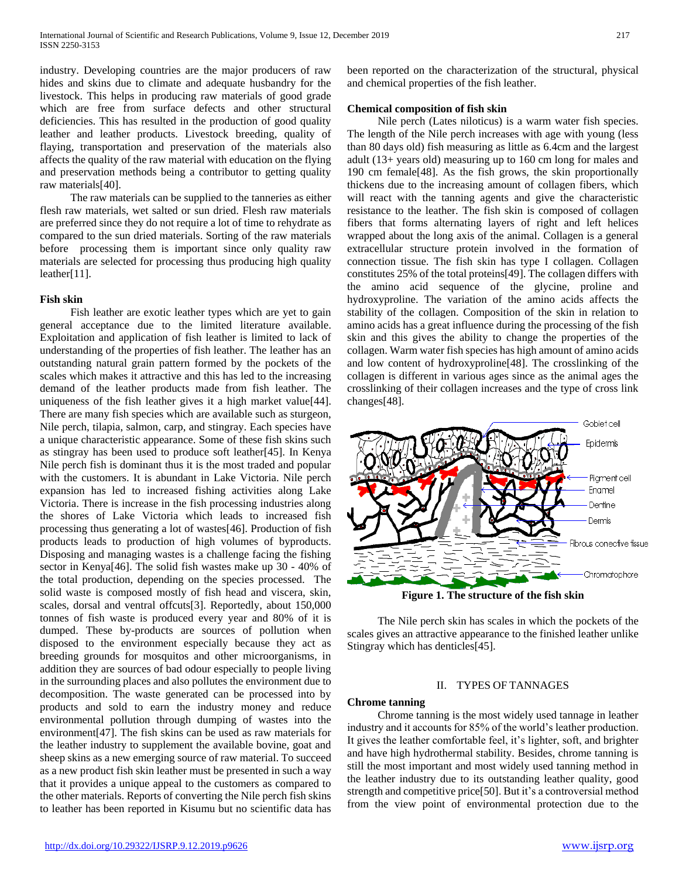industry. Developing countries are the major producers of raw hides and skins due to climate and adequate husbandry for the livestock. This helps in producing raw materials of good grade which are free from surface defects and other structural deficiencies. This has resulted in the production of good quality leather and leather products. Livestock breeding, quality of flaying, transportation and preservation of the materials also affects the quality of the raw material with education on the flying and preservation methods being a contributor to getting quality raw materials[40].

 The raw materials can be supplied to the tanneries as either flesh raw materials, wet salted or sun dried. Flesh raw materials are preferred since they do not require a lot of time to rehydrate as compared to the sun dried materials. Sorting of the raw materials before processing them is important since only quality raw materials are selected for processing thus producing high quality leather[11].

#### **Fish skin**

 Fish leather are exotic leather types which are yet to gain general acceptance due to the limited literature available. Exploitation and application of fish leather is limited to lack of understanding of the properties of fish leather. The leather has an outstanding natural grain pattern formed by the pockets of the scales which makes it attractive and this has led to the increasing demand of the leather products made from fish leather. The uniqueness of the fish leather gives it a high market value[44]. There are many fish species which are available such as sturgeon, Nile perch, tilapia, salmon, carp, and stingray. Each species have a unique characteristic appearance. Some of these fish skins such as stingray has been used to produce soft leather[45]. In Kenya Nile perch fish is dominant thus it is the most traded and popular with the customers. It is abundant in Lake Victoria. Nile perch expansion has led to increased fishing activities along Lake Victoria. There is increase in the fish processing industries along the shores of Lake Victoria which leads to increased fish processing thus generating a lot of wastes[46]. Production of fish products leads to production of high volumes of byproducts. Disposing and managing wastes is a challenge facing the fishing sector in Kenya[46]. The solid fish wastes make up 30 - 40% of the total production, depending on the species processed. The solid waste is composed mostly of fish head and viscera, skin, scales, dorsal and ventral offcuts[3]. Reportedly, about 150,000 tonnes of fish waste is produced every year and 80% of it is dumped. These by-products are sources of pollution when disposed to the environment especially because they act as breeding grounds for mosquitos and other microorganisms, in addition they are sources of bad odour especially to people living in the surrounding places and also pollutes the environment due to decomposition. The waste generated can be processed into by products and sold to earn the industry money and reduce environmental pollution through dumping of wastes into the environment[47]. The fish skins can be used as raw materials for the leather industry to supplement the available bovine, goat and sheep skins as a new emerging source of raw material. To succeed as a new product fish skin leather must be presented in such a way that it provides a unique appeal to the customers as compared to the other materials. Reports of converting the Nile perch fish skins to leather has been reported in Kisumu but no scientific data has

been reported on the characterization of the structural, physical and chemical properties of the fish leather.

# **Chemical composition of fish skin**

 Nile perch (Lates niloticus) is a warm water fish species. The length of the Nile perch increases with age with young (less than 80 days old) fish measuring as little as 6.4cm and the largest adult (13+ years old) measuring up to 160 cm long for males and 190 cm female[48]. As the fish grows, the skin proportionally thickens due to the increasing amount of collagen fibers, which will react with the tanning agents and give the characteristic resistance to the leather. The fish skin is composed of collagen fibers that forms alternating layers of right and left helices wrapped about the long axis of the animal. Collagen is a general extracellular structure protein involved in the formation of connection tissue. The fish skin has type I collagen. Collagen constitutes 25% of the total proteins[49]. The collagen differs with the amino acid sequence of the glycine, proline and hydroxyproline. The variation of the amino acids affects the stability of the collagen. Composition of the skin in relation to amino acids has a great influence during the processing of the fish skin and this gives the ability to change the properties of the collagen. Warm water fish species has high amount of amino acids and low content of hydroxyproline[48]. The crosslinking of the collagen is different in various ages since as the animal ages the crosslinking of their collagen increases and the type of cross link changes[48].



 The Nile perch skin has scales in which the pockets of the scales gives an attractive appearance to the finished leather unlike Stingray which has denticles[45].

#### II. TYPES OF TANNAGES

#### **Chrome tanning**

 Chrome tanning is the most widely used tannage in leather industry and it accounts for 85% of the world's leather production. It gives the leather comfortable feel, it's lighter, soft, and brighter and have high hydrothermal stability. Besides, chrome tanning is still the most important and most widely used tanning method in the leather industry due to its outstanding leather quality, good strength and competitive price[50]. But it's a controversial method from the view point of environmental protection due to the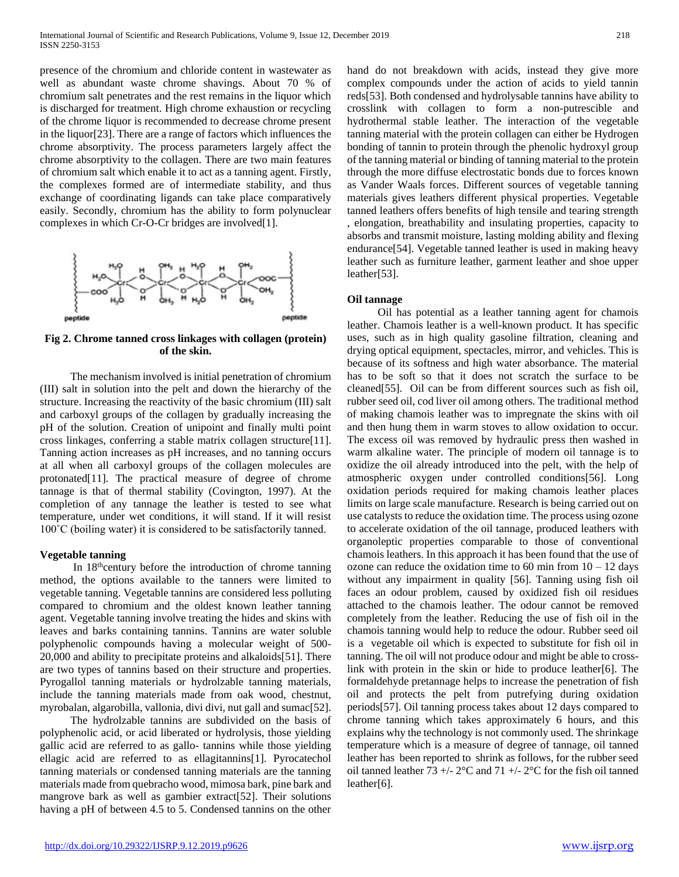presence of the chromium and chloride content in wastewater as well as abundant waste chrome shavings. About 70 % of chromium salt penetrates and the rest remains in the liquor which is discharged for treatment. High chrome exhaustion or recycling of the chrome liquor is recommended to decrease chrome present in the liquor[23]. There are a range of factors which influences the chrome absorptivity. The process parameters largely affect the chrome absorptivity to the collagen. There are two main features of chromium salt which enable it to act as a tanning agent. Firstly, the complexes formed are of intermediate stability, and thus exchange of coordinating ligands can take place comparatively easily. Secondly, chromium has the ability to form polynuclear complexes in which Cr-O-Cr bridges are involved[1].



**Fig 2. Chrome tanned cross linkages with collagen (protein) of the skin.**

 The mechanism involved is initial penetration of chromium (III) salt in solution into the pelt and down the hierarchy of the structure. Increasing the reactivity of the basic chromium (III) salt and carboxyl groups of the collagen by gradually increasing the pH of the solution. Creation of unipoint and finally multi point cross linkages, conferring a stable matrix collagen structure[11]. Tanning action increases as pH increases, and no tanning occurs at all when all carboxyl groups of the collagen molecules are protonated[11]. The practical measure of degree of chrome tannage is that of thermal stability (Covington, 1997). At the completion of any tannage the leather is tested to see what temperature, under wet conditions, it will stand. If it will resist 100˚C (boiling water) it is considered to be satisfactorily tanned.

#### **Vegetable tanning**

In 18<sup>th</sup>century before the introduction of chrome tanning method, the options available to the tanners were limited to vegetable tanning. Vegetable tannins are considered less polluting compared to chromium and the oldest known leather tanning agent. Vegetable tanning involve treating the hides and skins with leaves and barks containing tannins. Tannins are water soluble polyphenolic compounds having a molecular weight of 500- 20,000 and ability to precipitate proteins and alkaloids[51]. There are two types of tannins based on their structure and properties. Pyrogallol tanning materials or hydrolzable tanning materials, include the tanning materials made from oak wood, chestnut, myrobalan, algarobilla, vallonia, divi divi, nut gall and sumac[52].

 The hydrolzable tannins are subdivided on the basis of polyphenolic acid, or acid liberated or hydrolysis, those yielding gallic acid are referred to as gallo- tannins while those yielding ellagic acid are referred to as ellagitannins[1]. Pyrocatechol tanning materials or condensed tanning materials are the tanning materials made from quebracho wood, mimosa bark, pine bark and mangrove bark as well as gambier extract[52]. Their solutions having a pH of between 4.5 to 5. Condensed tannins on the other

hand do not breakdown with acids, instead they give more complex compounds under the action of acids to yield tannin reds[53]. Both condensed and hydrolysable tannins have ability to crosslink with collagen to form a non-putrescible and hydrothermal stable leather. The interaction of the vegetable tanning material with the protein collagen can either be Hydrogen bonding of tannin to protein through the phenolic hydroxyl group of the tanning material or binding of tanning material to the protein through the more diffuse electrostatic bonds due to forces known as Vander Waals forces. Different sources of vegetable tanning materials gives leathers different physical properties. Vegetable tanned leathers offers benefits of high tensile and tearing strength , elongation, breathability and insulating properties, capacity to absorbs and transmit moisture, lasting molding ability and flexing endurance[54]. Vegetable tanned leather is used in making heavy leather such as furniture leather, garment leather and shoe upper leather[53].

#### **Oil tannage**

 Oil has potential as a leather tanning agent for chamois leather. Chamois leather is a well-known product. It has specific uses, such as in high quality gasoline filtration, cleaning and drying optical equipment, spectacles, mirror, and vehicles. This is because of its softness and high water absorbance. The material has to be soft so that it does not scratch the surface to be cleaned[55]. Oil can be from different sources such as fish oil, rubber seed oil, cod liver oil among others. The traditional method of making chamois leather was to impregnate the skins with oil and then hung them in warm stoves to allow oxidation to occur. The excess oil was removed by hydraulic press then washed in warm alkaline water. The principle of modern oil tannage is to oxidize the oil already introduced into the pelt, with the help of atmospheric oxygen under controlled conditions[56]. Long oxidation periods required for making chamois leather places limits on large scale manufacture. Research is being carried out on use catalysts to reduce the oxidation time. The process using ozone to accelerate oxidation of the oil tannage, produced leathers with organoleptic properties comparable to those of conventional chamois leathers. In this approach it has been found that the use of ozone can reduce the oxidation time to 60 min from  $10 - 12$  days without any impairment in quality [56]. Tanning using fish oil faces an odour problem, caused by oxidized fish oil residues attached to the chamois leather. The odour cannot be removed completely from the leather. Reducing the use of fish oil in the chamois tanning would help to reduce the odour. Rubber seed oil is a vegetable oil which is expected to substitute for fish oil in tanning. The oil will not produce odour and might be able to crosslink with protein in the skin or hide to produce leather[6]. The formaldehyde pretannage helps to increase the penetration of fish oil and protects the pelt from putrefying during oxidation periods[57]. Oil tanning process takes about 12 days compared to chrome tanning which takes approximately 6 hours, and this explains why the technology is not commonly used. The shrinkage temperature which is a measure of degree of tannage, oil tanned leather has been reported to shrink as follows, for the rubber seed oil tanned leather 73 +/-  $2^{\circ}$ C and 71 +/-  $2^{\circ}$ C for the fish oil tanned leather[6].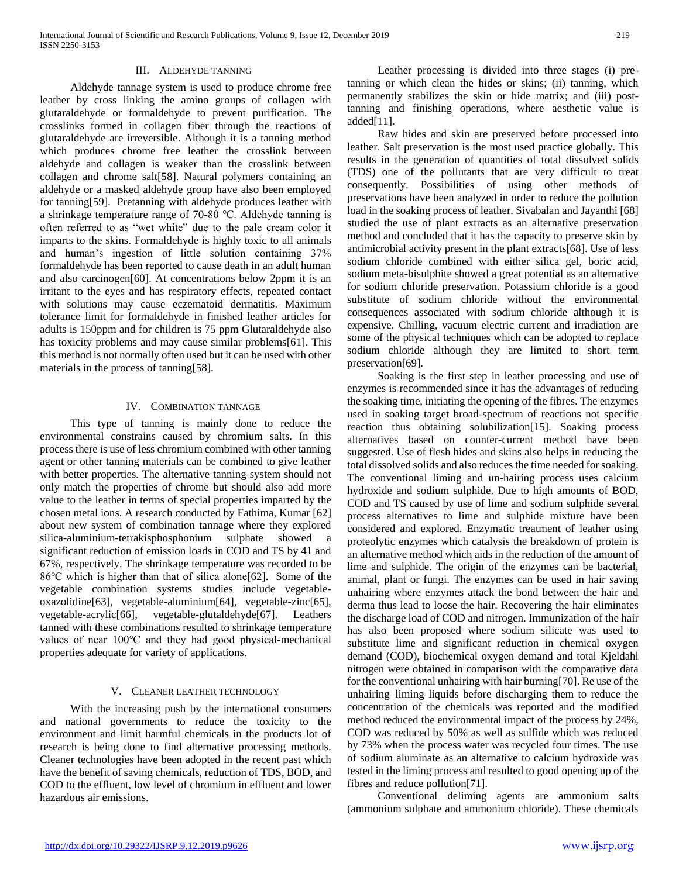#### III. ALDEHYDE TANNING

 Aldehyde tannage system is used to produce chrome free leather by cross linking the amino groups of collagen with glutaraldehyde or formaldehyde to prevent purification. The crosslinks formed in collagen fiber through the reactions of glutaraldehyde are irreversible. Although it is a tanning method which produces chrome free leather the crosslink between aldehyde and collagen is weaker than the crosslink between collagen and chrome salt[58]. Natural polymers containing an aldehyde or a masked aldehyde group have also been employed for tanning[59]. Pretanning with aldehyde produces leather with a shrinkage temperature range of 70-80 ℃. Aldehyde tanning is often referred to as "wet white" due to the pale cream color it imparts to the skins. Formaldehyde is highly toxic to all animals and human's ingestion of little solution containing 37% formaldehyde has been reported to cause death in an adult human and also carcinogen[60]. At concentrations below 2ppm it is an irritant to the eyes and has respiratory effects, repeated contact with solutions may cause eczematoid dermatitis. Maximum tolerance limit for formaldehyde in finished leather articles for adults is 150ppm and for children is 75 ppm Glutaraldehyde also has toxicity problems and may cause similar problems[61]. This this method is not normally often used but it can be used with other materials in the process of tanning[58].

#### IV. COMBINATION TANNAGE

 This type of tanning is mainly done to reduce the environmental constrains caused by chromium salts. In this process there is use of less chromium combined with other tanning agent or other tanning materials can be combined to give leather with better properties. The alternative tanning system should not only match the properties of chrome but should also add more value to the leather in terms of special properties imparted by the chosen metal ions. A research conducted by Fathima, Kumar [62] about new system of combination tannage where they explored silica-aluminium-tetrakisphosphonium sulphate showed significant reduction of emission loads in COD and TS by 41 and 67%, respectively. The shrinkage temperature was recorded to be 86℃ which is higher than that of silica alone[62]. Some of the vegetable combination systems studies include vegetableoxazolidine[63], vegetable-aluminium[64], vegetable-zinc[65], vegetable-acrylic[66], vegetable-glutaldehyde[67]. Leathers tanned with these combinations resulted to shrinkage temperature values of near 100℃ and they had good physical-mechanical properties adequate for variety of applications.

#### V. CLEANER LEATHER TECHNOLOGY

 With the increasing push by the international consumers and national governments to reduce the toxicity to the environment and limit harmful chemicals in the products lot of research is being done to find alternative processing methods. Cleaner technologies have been adopted in the recent past which have the benefit of saving chemicals, reduction of TDS, BOD, and COD to the effluent, low level of chromium in effluent and lower hazardous air emissions.

 Leather processing is divided into three stages (i) pretanning or which clean the hides or skins; (ii) tanning, which permanently stabilizes the skin or hide matrix; and (iii) posttanning and finishing operations, where aesthetic value is added[11].

 Raw hides and skin are preserved before processed into leather. Salt preservation is the most used practice globally. This results in the generation of quantities of total dissolved solids (TDS) one of the pollutants that are very difficult to treat consequently. Possibilities of using other methods of preservations have been analyzed in order to reduce the pollution load in the soaking process of leather. Sivabalan and Jayanthi [68] studied the use of plant extracts as an alternative preservation method and concluded that it has the capacity to preserve skin by antimicrobial activity present in the plant extracts[68]. Use of less sodium chloride combined with either silica gel, boric acid, sodium meta-bisulphite showed a great potential as an alternative for sodium chloride preservation. Potassium chloride is a good substitute of sodium chloride without the environmental consequences associated with sodium chloride although it is expensive. Chilling, vacuum electric current and irradiation are some of the physical techniques which can be adopted to replace sodium chloride although they are limited to short term preservation[69].

 Soaking is the first step in leather processing and use of enzymes is recommended since it has the advantages of reducing the soaking time, initiating the opening of the fibres. The enzymes used in soaking target broad-spectrum of reactions not specific reaction thus obtaining solubilization[15]. Soaking process alternatives based on counter-current method have been suggested. Use of flesh hides and skins also helps in reducing the total dissolved solids and also reduces the time needed for soaking. The conventional liming and un-hairing process uses calcium hydroxide and sodium sulphide. Due to high amounts of BOD, COD and TS caused by use of lime and sodium sulphide several process alternatives to lime and sulphide mixture have been considered and explored. Enzymatic treatment of leather using proteolytic enzymes which catalysis the breakdown of protein is an alternative method which aids in the reduction of the amount of lime and sulphide. The origin of the enzymes can be bacterial, animal, plant or fungi. The enzymes can be used in hair saving unhairing where enzymes attack the bond between the hair and derma thus lead to loose the hair. Recovering the hair eliminates the discharge load of COD and nitrogen. Immunization of the hair has also been proposed where sodium silicate was used to substitute lime and significant reduction in chemical oxygen demand (COD), biochemical oxygen demand and total Kjeldahl nitrogen were obtained in comparison with the comparative data for the conventional unhairing with hair burning[70]. Re use of the unhairing–liming liquids before discharging them to reduce the concentration of the chemicals was reported and the modified method reduced the environmental impact of the process by 24%, COD was reduced by 50% as well as sulfide which was reduced by 73% when the process water was recycled four times. The use of sodium aluminate as an alternative to calcium hydroxide was tested in the liming process and resulted to good opening up of the fibres and reduce pollution[71].

 Conventional deliming agents are ammonium salts (ammonium sulphate and ammonium chloride). These chemicals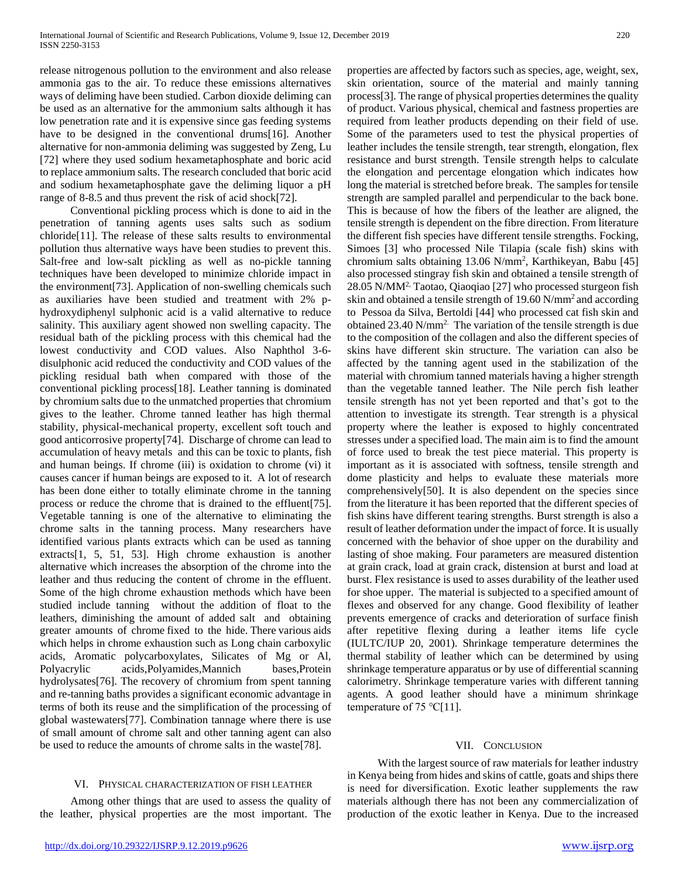release nitrogenous pollution to the environment and also release ammonia gas to the air. To reduce these emissions alternatives ways of deliming have been studied. Carbon dioxide deliming can be used as an alternative for the ammonium salts although it has low penetration rate and it is expensive since gas feeding systems have to be designed in the conventional drums[16]. Another alternative for non-ammonia deliming was suggested by Zeng, Lu [72] where they used sodium hexametaphosphate and boric acid to replace ammonium salts. The research concluded that boric acid and sodium hexametaphosphate gave the deliming liquor a pH range of 8-8.5 and thus prevent the risk of acid shock[72].

 Conventional pickling process which is done to aid in the penetration of tanning agents uses salts such as sodium chloride[11]. The release of these salts results to environmental pollution thus alternative ways have been studies to prevent this. Salt-free and low-salt pickling as well as no-pickle tanning techniques have been developed to minimize chloride impact in the environment[73]. Application of non-swelling chemicals such as auxiliaries have been studied and treatment with 2% phydroxydiphenyl sulphonic acid is a valid alternative to reduce salinity. This auxiliary agent showed non swelling capacity. The residual bath of the pickling process with this chemical had the lowest conductivity and COD values. Also Naphthol 3-6 disulphonic acid reduced the conductivity and COD values of the pickling residual bath when compared with those of the conventional pickling process[18]. Leather tanning is dominated by chromium salts due to the unmatched properties that chromium gives to the leather. Chrome tanned leather has high thermal stability, physical-mechanical property, excellent soft touch and good anticorrosive property[74]. Discharge of chrome can lead to accumulation of heavy metals and this can be toxic to plants, fish and human beings. If chrome (iii) is oxidation to chrome (vi) it causes cancer if human beings are exposed to it. A lot of research has been done either to totally eliminate chrome in the tanning process or reduce the chrome that is drained to the effluent[75]. Vegetable tanning is one of the alternative to eliminating the chrome salts in the tanning process. Many researchers have identified various plants extracts which can be used as tanning extracts[1, 5, 51, 53]. High chrome exhaustion is another alternative which increases the absorption of the chrome into the leather and thus reducing the content of chrome in the effluent. Some of the high chrome exhaustion methods which have been studied include tanning without the addition of float to the leathers, diminishing the amount of added salt and obtaining greater amounts of chrome fixed to the hide. There various aids which helps in chrome exhaustion such as Long chain carboxylic acids, Aromatic polycarboxylates, Silicates of Mg or Al, Polyacrylic acids,Polyamides,Mannich bases,Protein hydrolysates[76]. The recovery of chromium from spent tanning and re-tanning baths provides a significant economic advantage in terms of both its reuse and the simplification of the processing of global wastewaters[77]. Combination tannage where there is use of small amount of chrome salt and other tanning agent can also be used to reduce the amounts of chrome salts in the waste[78].

# VI. PHYSICAL CHARACTERIZATION OF FISH LEATHER

 Among other things that are used to assess the quality of the leather, physical properties are the most important. The

skin orientation, source of the material and mainly tanning process[3]. The range of physical properties determines the quality of product. Various physical, chemical and fastness properties are required from leather products depending on their field of use. Some of the parameters used to test the physical properties of leather includes the tensile strength, tear strength, elongation, flex resistance and burst strength. Tensile strength helps to calculate the elongation and percentage elongation which indicates how long the material is stretched before break. The samples for tensile strength are sampled parallel and perpendicular to the back bone. This is because of how the fibers of the leather are aligned, the tensile strength is dependent on the fibre direction. From literature the different fish species have different tensile strengths. Focking, Simoes [3] who processed Nile Tilapia (scale fish) skins with chromium salts obtaining 13.06 N/mm<sup>2</sup> , Karthikeyan, Babu [45] also processed stingray fish skin and obtained a tensile strength of 28.05 N/MM2, Taotao, Qiaoqiao [27] who processed sturgeon fish skin and obtained a tensile strength of 19.60 N/mm<sup>2</sup> and according to Pessoa da Silva, Bertoldi [44] who processed cat fish skin and obtained  $23.40$  N/mm<sup>2.</sup> The variation of the tensile strength is due to the composition of the collagen and also the different species of skins have different skin structure. The variation can also be affected by the tanning agent used in the stabilization of the material with chromium tanned materials having a higher strength than the vegetable tanned leather. The Nile perch fish leather tensile strength has not yet been reported and that's got to the attention to investigate its strength. Tear strength is a physical property where the leather is exposed to highly concentrated stresses under a specified load. The main aim is to find the amount of force used to break the test piece material. This property is important as it is associated with softness, tensile strength and dome plasticity and helps to evaluate these materials more comprehensively[50]. It is also dependent on the species since from the literature it has been reported that the different species of fish skins have different tearing strengths. Burst strength is also a result of leather deformation under the impact of force. It is usually concerned with the behavior of shoe upper on the durability and lasting of shoe making. Four parameters are measured distention at grain crack, load at grain crack, distension at burst and load at burst. Flex resistance is used to asses durability of the leather used for shoe upper. The material is subjected to a specified amount of flexes and observed for any change. Good flexibility of leather prevents emergence of cracks and deterioration of surface finish after repetitive flexing during a leather items life cycle (IULTC/IUP 20, 2001). Shrinkage temperature determines the thermal stability of leather which can be determined by using shrinkage temperature apparatus or by use of differential scanning calorimetry. Shrinkage temperature varies with different tanning agents. A good leather should have a minimum shrinkage temperature of 75  $°C[11]$ .

properties are affected by factors such as species, age, weight, sex,

## VII. CONCLUSION

 With the largest source of raw materials for leather industry in Kenya being from hides and skins of cattle, goats and ships there is need for diversification. Exotic leather supplements the raw materials although there has not been any commercialization of production of the exotic leather in Kenya. Due to the increased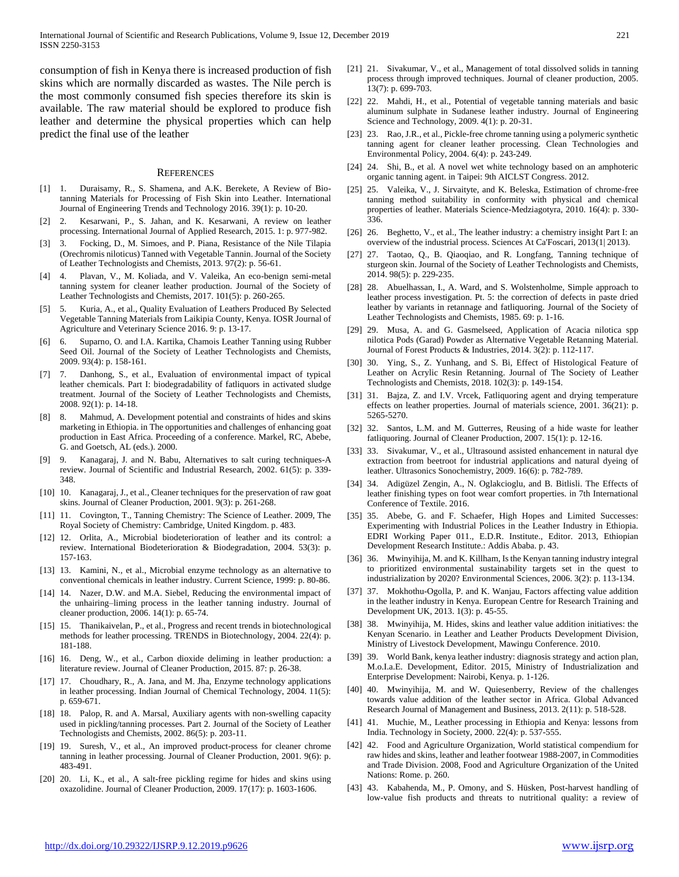consumption of fish in Kenya there is increased production of fish skins which are normally discarded as wastes. The Nile perch is the most commonly consumed fish species therefore its skin is available. The raw material should be explored to produce fish leather and determine the physical properties which can help predict the final use of the leather

#### **REFERENCES**

- [1] 1. Duraisamy, R., S. Shamena, and A.K. Berekete, A Review of Biotanning Materials for Processing of Fish Skin into Leather. International Journal of Engineering Trends and Technology 2016. 39(1): p. 10-20.
- [2] 2. Kesarwani, P., S. Jahan, and K. Kesarwani, A review on leather processing. International Journal of Applied Research, 2015. 1: p. 977-982.
- [3] 3. Focking, D., M. Simoes, and P. Piana, Resistance of the Nile Tilapia (Orechromis niloticus) Tanned with Vegetable Tannin. Journal of the Society of Leather Technologists and Chemists, 2013. 97(2): p. 56-61.
- [4] 4. Plavan, V., M. Koliada, and V. Valeika, An eco-benign semi-metal tanning system for cleaner leather production. Journal of the Society of Leather Technologists and Chemists, 2017. 101(5): p. 260-265.
- [5] 5. Kuria, A., et al., Quality Evaluation of Leathers Produced By Selected Vegetable Tanning Materials from Laikipia County, Kenya. IOSR Journal of Agriculture and Veterinary Science 2016. 9: p. 13-17.
- [6] 6. Suparno, O. and I.A. Kartika, Chamois Leather Tanning using Rubber Seed Oil. Journal of the Society of Leather Technologists and Chemists, 2009. 93(4): p. 158-161.
- [7] 7. Danhong, S., et al., Evaluation of environmental impact of typical leather chemicals. Part I: biodegradability of fatliquors in activated sludge treatment. Journal of the Society of Leather Technologists and Chemists, 2008. 92(1): p. 14-18.
- [8] 8. Mahmud, A. Development potential and constraints of hides and skins marketing in Ethiopia. in The opportunities and challenges of enhancing goat production in East Africa. Proceeding of a conference. Markel, RC, Abebe, G. and Goetsch, AL (eds.). 2000.
- [9] 9. Kanagaraj, J. and N. Babu, Alternatives to salt curing techniques-A review. Journal of Scientific and Industrial Research, 2002. 61(5): p. 339- 348.
- [10] 10. Kanagaraj, J., et al., Cleaner techniques for the preservation of raw goat skins. Journal of Cleaner Production, 2001. 9(3): p. 261-268.
- [11] 11. Covington, T., Tanning Chemistry: The Science of Leather. 2009, The Royal Society of Chemistry: Cambridge, United Kingdom. p. 483.
- [12] 12. Orlita, A., Microbial biodeterioration of leather and its control: a review. International Biodeterioration & Biodegradation, 2004. 53(3): p. 157-163.
- [13] 13. Kamini, N., et al., Microbial enzyme technology as an alternative to conventional chemicals in leather industry. Current Science, 1999: p. 80-86.
- [14] 14. Nazer, D.W. and M.A. Siebel, Reducing the environmental impact of the unhairing–liming process in the leather tanning industry. Journal of cleaner production, 2006. 14(1): p. 65-74.
- [15] 15. Thanikaivelan, P., et al., Progress and recent trends in biotechnological methods for leather processing. TRENDS in Biotechnology, 2004. 22(4): p. 181-188.
- [16] 16. Deng, W., et al., Carbon dioxide deliming in leather production: a literature review. Journal of Cleaner Production, 2015. 87: p. 26-38.
- [17] 17. Choudhary, R., A. Jana, and M. Jha, Enzyme technology applications in leather processing. Indian Journal of Chemical Technology, 2004. 11(5): p. 659-671.
- [18] 18. Palop, R. and A. Marsal, Auxiliary agents with non-swelling capacity used in pickling/tanning processes. Part 2. Journal of the Society of Leather Technologists and Chemists, 2002. 86(5): p. 203-11.
- [19] 19. Suresh, V., et al., An improved product-process for cleaner chrome tanning in leather processing. Journal of Cleaner Production, 2001. 9(6): p. 483-491.
- [20] 20. Li, K., et al., A salt-free pickling regime for hides and skins using oxazolidine. Journal of Cleaner Production, 2009. 17(17): p. 1603-1606.
- [21] 21. Sivakumar, V., et al., Management of total dissolved solids in tanning process through improved techniques. Journal of cleaner production, 2005. 13(7): p. 699-703.
- [22] 22. Mahdi, H., et al., Potential of vegetable tanning materials and basic aluminum sulphate in Sudanese leather industry. Journal of Engineering Science and Technology, 2009. 4(1): p. 20-31.
- [23] 23. Rao, J.R., et al., Pickle-free chrome tanning using a polymeric synthetic tanning agent for cleaner leather processing. Clean Technologies and Environmental Policy, 2004. 6(4): p. 243-249.
- [24] 24. Shi, B., et al. A novel wet white technology based on an amphoteric organic tanning agent. in Taipei: 9th AICLST Congress. 2012.
- [25] 25. Valeika, V., J. Sirvaityte, and K. Beleska, Estimation of chrome-free tanning method suitability in conformity with physical and chemical properties of leather. Materials Science-Medziagotyra, 2010. 16(4): p. 330- 336.
- [26] 26. Beghetto, V., et al., The leather industry: a chemistry insight Part I: an overview of the industrial process. Sciences At Ca'Foscari, 2013(1| 2013).
- [27] 27. Taotao, O., B. Qiaoqiao, and R. Longfang, Tanning technique of sturgeon skin. Journal of the Society of Leather Technologists and Chemists, 2014. 98(5): p. 229-235.
- [28] 28. Abuelhassan, I., A. Ward, and S. Wolstenholme, Simple approach to leather process investigation. Pt. 5: the correction of defects in paste dried leather by variants in retannage and fatliquoring. Journal of the Society of Leather Technologists and Chemists, 1985. 69: p. 1-16.
- [29] 29. Musa, A. and G. Gasmelseed, Application of Acacia nilotica spp nilotica Pods (Garad) Powder as Alternative Vegetable Retanning Material. Journal of Forest Products & Industries, 2014. 3(2): p. 112-117.
- [30] 30. Ying, S., Z. Yunhang, and S. Bi, Effect of Histological Feature of Leather on Acrylic Resin Retanning. Journal of The Society of Leather Technologists and Chemists, 2018. 102(3): p. 149-154.
- [31] 31. Bajza, Z. and I.V. Vrcek, Fatliquoring agent and drying temperature effects on leather properties. Journal of materials science, 2001. 36(21): p. 5265-5270.
- [32] 32. Santos, L.M. and M. Gutterres, Reusing of a hide waste for leather fatliquoring. Journal of Cleaner Production, 2007. 15(1): p. 12-16.
- [33] 33. Sivakumar, V., et al., Ultrasound assisted enhancement in natural dye extraction from beetroot for industrial applications and natural dyeing of leather. Ultrasonics Sonochemistry, 2009. 16(6): p. 782-789.
- [34] 34. Adigüzel Zengin, A., N. Oglakcioglu, and B. Bitlisli. The Effects of leather finishing types on foot wear comfort properties. in 7th International Conference of Textile. 2016.
- [35] 35. Abebe, G. and F. Schaefer, High Hopes and Limited Successes: Experimenting with Industrial Polices in the Leather Industry in Ethiopia. EDRI Working Paper 011., E.D.R. Institute., Editor. 2013, Ethiopian Development Research Institute.: Addis Ababa. p. 43.
- [36] 36. Mwinyihija, M. and K. Killham, Is the Kenyan tanning industry integral to prioritized environmental sustainability targets set in the quest to industrialization by 2020? Environmental Sciences, 2006. 3(2): p. 113-134.
- [37] 37. Mokhothu-Ogolla, P. and K. Wanjau, Factors affecting value addition in the leather industry in Kenya. European Centre for Research Training and Development UK, 2013. 1(3): p. 45-55.
- [38] 38. Mwinyihija, M. Hides, skins and leather value addition initiatives: the Kenyan Scenario. in Leather and Leather Products Development Division, Ministry of Livestock Development, Mawingu Conference. 2010.
- [39] 39. World Bank, kenya leather industry: diagnosis strategy and action plan, M.o.I.a.E. Development, Editor. 2015, Ministry of Industrialization and Enterprise Development: Nairobi, Kenya. p. 1-126.
- [40] 40. Mwinyihija, M. and W. Quiesenberry, Review of the challenges towards value addition of the leather sector in Africa. Global Advanced Research Journal of Management and Business, 2013. 2(11): p. 518-528.
- [41] 41. Muchie, M., Leather processing in Ethiopia and Kenya: lessons from India. Technology in Society, 2000. 22(4): p. 537-555.
- [42] 42. Food and Agriculture Organization, World statistical compendium for raw hides and skins, leather and leather footwear 1988-2007, in Commodities and Trade Division. 2008, Food and Agriculture Organization of the United Nations: Rome. p. 260.
- [43] 43. Kabahenda, M., P. Omony, and S. Hüsken, Post-harvest handling of low-value fish products and threats to nutritional quality: a review of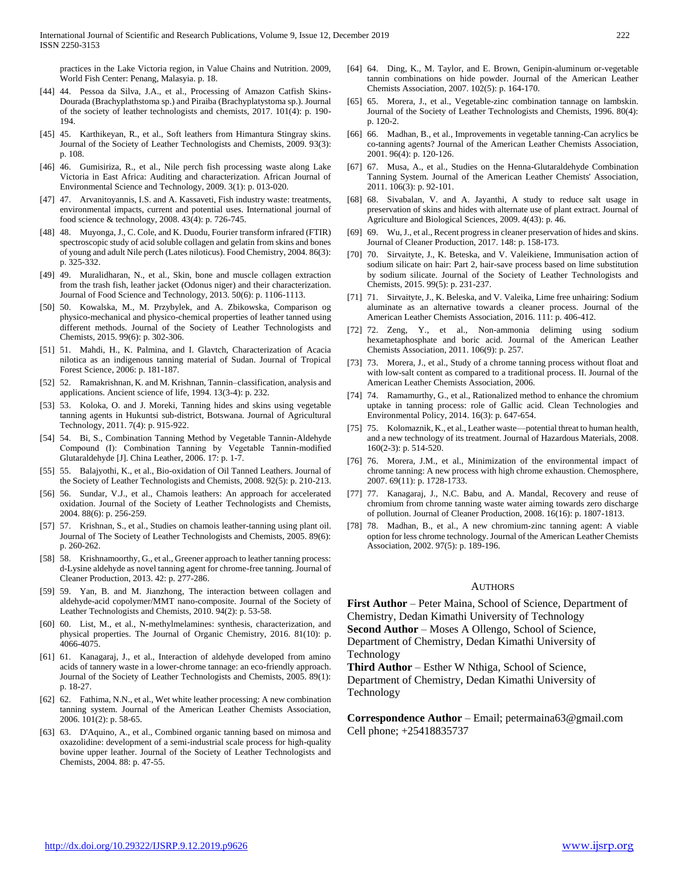practices in the Lake Victoria region, in Value Chains and Nutrition. 2009, World Fish Center: Penang, Malasyia. p. 18.

- [44] 44. Pessoa da Silva, J.A., et al., Processing of Amazon Catfish Skins-Dourada (Brachyplathstoma sp.) and Piraiba (Brachyplatystoma sp.). Journal of the society of leather technologists and chemists, 2017. 101(4): p. 190- 194.
- [45] 45. Karthikeyan, R., et al., Soft leathers from Himantura Stingray skins. Journal of the Society of Leather Technologists and Chemists, 2009. 93(3): p. 108.
- [46] 46. Gumisiriza, R., et al., Nile perch fish processing waste along Lake Victoria in East Africa: Auditing and characterization. African Journal of Environmental Science and Technology, 2009. 3(1): p. 013-020.
- [47] 47. Arvanitoyannis, I.S. and A. Kassaveti, Fish industry waste: treatments, environmental impacts, current and potential uses. International journal of food science & technology, 2008. 43(4): p. 726-745.
- [48] 48. Muyonga, J., C. Cole, and K. Duodu, Fourier transform infrared (FTIR) spectroscopic study of acid soluble collagen and gelatin from skins and bones of young and adult Nile perch (Lates niloticus). Food Chemistry, 2004. 86(3): p. 325-332.
- [49] 49. Muralidharan, N., et al., Skin, bone and muscle collagen extraction from the trash fish, leather jacket (Odonus niger) and their characterization. Journal of Food Science and Technology, 2013. 50(6): p. 1106-1113.
- [50] 50. Kowalska, M., M. Przybylek, and A. Zbikowska, Comparison og physico-mechanical and physico-chemical properties of leather tanned using different methods. Journal of the Society of Leather Technologists and Chemists, 2015. 99(6): p. 302-306.
- [51] 51. Mahdi, H., K. Palmina, and I. Glavtch, Characterization of Acacia nilotica as an indigenous tanning material of Sudan. Journal of Tropical Forest Science, 2006: p. 181-187.
- [52] 52. Ramakrishnan, K. and M. Krishnan, Tannin–classification, analysis and applications. Ancient science of life, 1994. 13(3-4): p. 232.
- [53] 53. Koloka, O. and J. Moreki, Tanning hides and skins using vegetable tanning agents in Hukuntsi sub-district, Botswana. Journal of Agricultural Technology, 2011. 7(4): p. 915-922.
- [54] 54. Bi, S., Combination Tanning Method by Vegetable Tannin-Aldehyde Compound (Ⅰ): Combination Tanning by Vegetable Tannin-modified Glutaraldehyde [J]. China Leather, 2006. 17: p. 1-7.
- [55] 55. Balajyothi, K., et al., Bio-oxidation of Oil Tanned Leathers. Journal of the Society of Leather Technologists and Chemists, 2008. 92(5): p. 210-213.
- [56] 56. Sundar, V.J., et al., Chamois leathers: An approach for accelerated oxidation. Journal of the Society of Leather Technologists and Chemists, 2004. 88(6): p. 256-259.
- [57] 57. Krishnan, S., et al., Studies on chamois leather-tanning using plant oil. Journal of The Society of Leather Technologists and Chemists, 2005. 89(6): p. 260-262.
- [58] 58. Krishnamoorthy, G., et al., Greener approach to leather tanning process: d-Lysine aldehyde as novel tanning agent for chrome-free tanning. Journal of Cleaner Production, 2013. 42: p. 277-286.
- [59] 59. Yan, B. and M. Jianzhong, The interaction between collagen and aldehyde-acid copolymer/MMT nano-composite. Journal of the Society of Leather Technologists and Chemists, 2010. 94(2): p. 53-58.
- [60] 60. List, M., et al., N-methylmelamines: synthesis, characterization, and physical properties. The Journal of Organic Chemistry, 2016. 81(10): p. 4066-4075.
- [61] 61. Kanagaraj, J., et al., Interaction of aldehyde developed from amino acids of tannery waste in a lower-chrome tannage: an eco-friendly approach. Journal of the Society of Leather Technologists and Chemists, 2005. 89(1): p. 18-27.
- [62] 62. Fathima, N.N., et al., Wet white leather processing: A new combination tanning system. Journal of the American Leather Chemists Association, 2006. 101(2): p. 58-65.
- [63] 63. D'Aquino, A., et al., Combined organic tanning based on mimosa and oxazolidine: development of a semi-industrial scale process for high-quality bovine upper leather. Journal of the Society of Leather Technologists and Chemists, 2004. 88: p. 47-55.
- [64] 64. Ding, K., M. Taylor, and E. Brown, Genipin-aluminum or-vegetable tannin combinations on hide powder. Journal of the American Leather Chemists Association, 2007. 102(5): p. 164-170.
- [65] 65. Morera, J., et al., Vegetable-zinc combination tannage on lambskin. Journal of the Society of Leather Technologists and Chemists, 1996. 80(4): p. 120-2.
- [66] 66. Madhan, B., et al., Improvements in vegetable tanning-Can acrylics be co-tanning agents? Journal of the American Leather Chemists Association, 2001. 96(4): p. 120-126.
- [67] 67. Musa, A., et al., Studies on the Henna-Glutaraldehyde Combination Tanning System. Journal of the American Leather Chemists' Association, 2011. 106(3): p. 92-101.
- [68] 68. Sivabalan, V. and A. Jayanthi, A study to reduce salt usage in preservation of skins and hides with alternate use of plant extract. Journal of Agriculture and Biological Sciences, 2009. 4(43): p. 46.
- [69] 69. Wu, J., et al., Recent progress in cleaner preservation of hides and skins. Journal of Cleaner Production, 2017. 148: p. 158-173.
- [70] 70. Sirvaityte, J., K. Beteska, and V. Valeikiene, Immunisation action of sodium silicate on hair: Part 2, hair-save process based on lime substitution by sodium silicate. Journal of the Society of Leather Technologists and Chemists, 2015. 99(5): p. 231-237.
- [71] 71. Sirvaityte, J., K. Beleska, and V. Valeika, Lime free unhairing: Sodium aluminate as an alternative towards a cleaner process. Journal of the American Leather Chemists Association, 2016. 111: p. 406-412.
- [72] 72. Zeng, Y., et al., Non-ammonia deliming using sodium hexametaphosphate and boric acid. Journal of the American Leather Chemists Association, 2011. 106(9): p. 257.
- [73] 73. Morera, J., et al., Study of a chrome tanning process without float and with low-salt content as compared to a traditional process. II. Journal of the American Leather Chemists Association, 2006.
- [74] 74. Ramamurthy, G., et al., Rationalized method to enhance the chromium uptake in tanning process: role of Gallic acid. Clean Technologies and Environmental Policy, 2014. 16(3): p. 647-654.
- [75] 75. Kolomaznik, K., et al., Leather waste—potential threat to human health, and a new technology of its treatment. Journal of Hazardous Materials, 2008. 160(2-3): p. 514-520.
- [76] 76. Morera, J.M., et al., Minimization of the environmental impact of chrome tanning: A new process with high chrome exhaustion. Chemosphere, 2007. 69(11): p. 1728-1733.
- [77] 77. Kanagaraj, J., N.C. Babu, and A. Mandal, Recovery and reuse of chromium from chrome tanning waste water aiming towards zero discharge of pollution. Journal of Cleaner Production, 2008. 16(16): p. 1807-1813.
- [78] 78. Madhan, B., et al., A new chromium-zinc tanning agent: A viable option for less chrome technology. Journal of the American Leather Chemists Association, 2002. 97(5): p. 189-196.

#### **AUTHORS**

**First Author** – Peter Maina, School of Science, Department of Chemistry, Dedan Kimathi University of Technology **Second Author** – Moses A Ollengo, School of Science, Department of Chemistry, Dedan Kimathi University of Technology

**Third Author** – Esther W Nthiga, School of Science, Department of Chemistry, Dedan Kimathi University of Technology

**Correspondence Author** – Email; petermaina63@gmail.com Cell phone; +25418835737